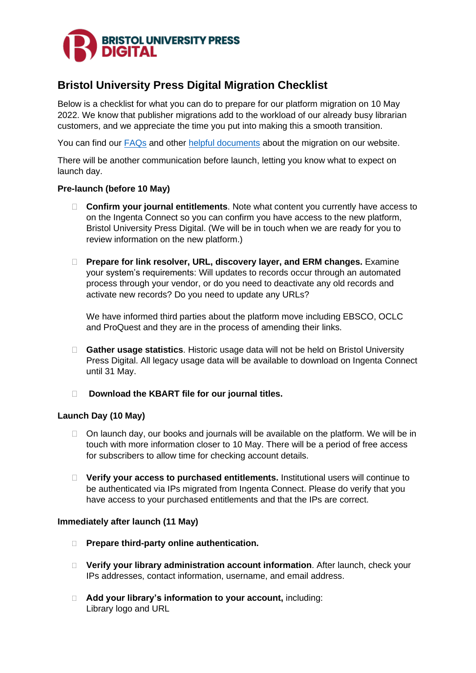

# **Bristol University Press Digital Migration Checklist**

Below is a checklist for what you can do to prepare for our platform migration on 10 May 2022. We know that publisher migrations add to the workload of our already busy librarian customers, and we appreciate the time you put into making this a smooth transition.

You can find our [FAQs](https://bristoluniversitypress.co.uk/bupdigital-faqs) and other [helpful documents](https://bristoluniversitypress.co.uk/bristol-university-press-digital) about the migration on our website.

There will be another communication before launch, letting you know what to expect on launch day.

## **Pre-launch (before 10 May)**

- **Confirm your journal entitlements**. Note what content you currently have access to on the Ingenta Connect so you can confirm you have access to the new platform, Bristol University Press Digital. (We will be in touch when we are ready for you to review information on the new platform.)
- **Prepare for link resolver, URL, discovery layer, and ERM changes.** Examine your system's requirements: Will updates to records occur through an automated process through your vendor, or do you need to deactivate any old records and activate new records? Do you need to update any URLs?

We have informed third parties about the platform move including EBSCO, OCLC and ProQuest and they are in the process of amending their links.

- **Gather usage statistics**. Historic usage data will not be held on Bristol University Press Digital. All legacy usage data will be available to download on Ingenta Connect until 31 May.
- **Download the KBART file for our journal titles.**

## **Launch Day (10 May)**

- $\Box$  On launch day, our books and journals will be available on the platform. We will be in touch with more information closer to 10 May. There will be a period of free access for subscribers to allow time for checking account details.
- **Verify your access to purchased entitlements.** Institutional users will continue to be authenticated via IPs migrated from Ingenta Connect. Please do verify that you have access to your purchased entitlements and that the IPs are correct.

## **Immediately after launch (11 May)**

- **Prepare third-party online authentication.**
- **Verify your library administration account information**. After launch, check your IPs addresses, contact information, username, and email address.
- **Add your library's information to your account,** including: Library logo and URL